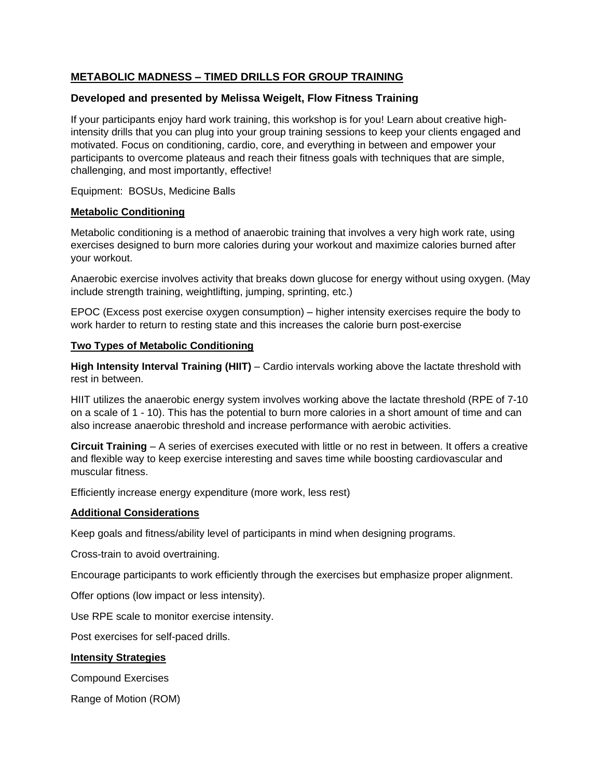# **METABOLIC MADNESS – TIMED DRILLS FOR GROUP TRAINING**

## **Developed and presented by Melissa Weigelt, Flow Fitness Training**

If your participants enjoy hard work training, this workshop is for you! Learn about creative highintensity drills that you can plug into your group training sessions to keep your clients engaged and motivated. Focus on conditioning, cardio, core, and everything in between and empower your participants to overcome plateaus and reach their fitness goals with techniques that are simple, challenging, and most importantly, effective!

Equipment: BOSUs, Medicine Balls

## **Metabolic Conditioning**

Metabolic conditioning is a method of anaerobic training that involves a very high work rate, using exercises designed to burn more calories during your workout and maximize calories burned after your workout.

Anaerobic exercise involves activity that breaks down glucose for energy without using oxygen. (May include strength training, weightlifting, jumping, sprinting, etc.)

EPOC (Excess post exercise oxygen consumption) – higher intensity exercises require the body to work harder to return to resting state and this increases the calorie burn post-exercise

## **Two Types of Metabolic Conditioning**

**High Intensity Interval Training (HIIT)** – Cardio intervals working above the lactate threshold with rest in between.

HIIT utilizes the anaerobic energy system involves working above the lactate threshold (RPE of 7-10 on a scale of 1 - 10). This has the potential to burn more calories in a short amount of time and can also increase anaerobic threshold and increase performance with aerobic activities.

**Circuit Training** – A series of exercises executed with little or no rest in between. It offers a creative and flexible way to keep exercise interesting and saves time while boosting cardiovascular and muscular fitness.

Efficiently increase energy expenditure (more work, less rest)

# **Additional Considerations**

Keep goals and fitness/ability level of participants in mind when designing programs.

Cross-train to avoid overtraining.

Encourage participants to work efficiently through the exercises but emphasize proper alignment.

Offer options (low impact or less intensity).

Use RPE scale to monitor exercise intensity.

Post exercises for self-paced drills.

# **Intensity Strategies**

Compound Exercises

Range of Motion (ROM)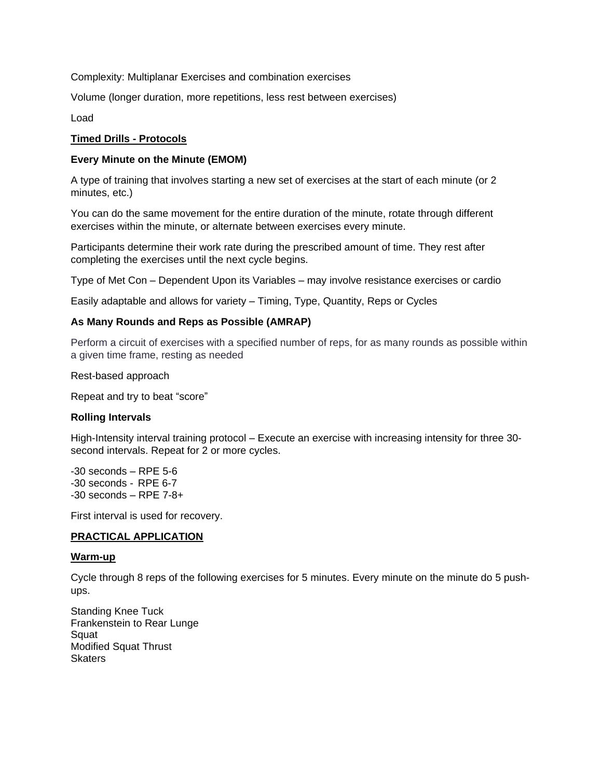Complexity: Multiplanar Exercises and combination exercises

Volume (longer duration, more repetitions, less rest between exercises)

Load

### **Timed Drills - Protocols**

### **Every Minute on the Minute (EMOM)**

A type of training that involves starting a new set of exercises at the start of each minute (or 2 minutes, etc.)

You can do the same movement for the entire duration of the minute, rotate through different exercises within the minute, or alternate between exercises every minute.

Participants determine their work rate during the prescribed amount of time. They rest after completing the exercises until the next cycle begins.

Type of Met Con – Dependent Upon its Variables – may involve resistance exercises or cardio

Easily adaptable and allows for variety – Timing, Type, Quantity, Reps or Cycles

### **As Many Rounds and Reps as Possible (AMRAP)**

Perform a circuit of exercises with a specified number of reps, for as many rounds as possible within a given time frame, resting as needed

Rest-based approach

Repeat and try to beat "score"

#### **Rolling Intervals**

High-Intensity interval training protocol – Execute an exercise with increasing intensity for three 30 second intervals. Repeat for 2 or more cycles.

-30 seconds – RPE 5-6 -30 seconds - RPE 6-7 -30 seconds – RPE 7-8+

First interval is used for recovery.

#### **PRACTICAL APPLICATION**

#### **Warm-up**

Cycle through 8 reps of the following exercises for 5 minutes. Every minute on the minute do 5 pushups.

Standing Knee Tuck Frankenstein to Rear Lunge Squat Modified Squat Thrust **Skaters**